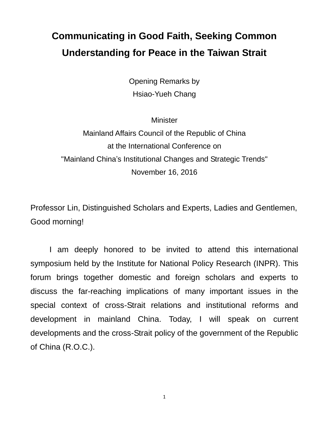# **Communicating in Good Faith, Seeking Common Understanding for Peace in the Taiwan Strait**

Opening Remarks by Hsiao-Yueh Chang

**Minister** 

Mainland Affairs Council of the Republic of China at the International Conference on "Mainland China's Institutional Changes and Strategic Trends" November 16, 2016

Professor Lin, Distinguished Scholars and Experts, Ladies and Gentlemen, Good morning!

I am deeply honored to be invited to attend this international symposium held by the Institute for National Policy Research (INPR). This forum brings together domestic and foreign scholars and experts to discuss the far-reaching implications of many important issues in the special context of cross-Strait relations and institutional reforms and development in mainland China. Today, I will speak on current developments and the cross-Strait policy of the government of the Republic of China (R.O.C.).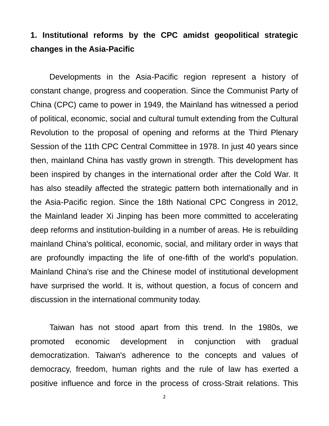## **1. Institutional reforms by the CPC amidst geopolitical strategic changes in the Asia-Pacific**

Developments in the Asia-Pacific region represent a history of constant change, progress and cooperation. Since the Communist Party of China (CPC) came to power in 1949, the Mainland has witnessed a period of political, economic, social and cultural tumult extending from the Cultural Revolution to the proposal of opening and reforms at the Third Plenary Session of the 11th CPC Central Committee in 1978. In just 40 years since then, mainland China has vastly grown in strength. This development has been inspired by changes in the international order after the Cold War. It has also steadily affected the strategic pattern both internationally and in the Asia-Pacific region. Since the 18th National CPC Congress in 2012, the Mainland leader Xi Jinping has been more committed to accelerating deep reforms and institution-building in a number of areas. He is rebuilding mainland China's political, economic, social, and military order in ways that are profoundly impacting the life of one-fifth of the world's population. Mainland China's rise and the Chinese model of institutional development have surprised the world. It is, without question, a focus of concern and discussion in the international community today.

Taiwan has not stood apart from this trend. In the 1980s, we promoted economic development in conjunction with gradual democratization. Taiwan's adherence to the concepts and values of democracy, freedom, human rights and the rule of law has exerted a positive influence and force in the process of cross-Strait relations. This

<sup>2</sup>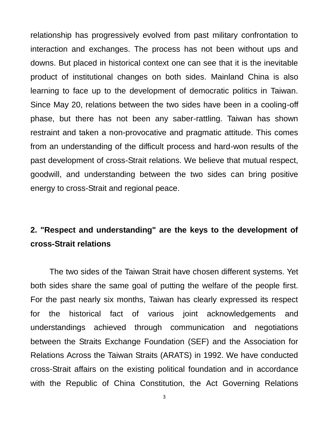relationship has progressively evolved from past military confrontation to interaction and exchanges. The process has not been without ups and downs. But placed in historical context one can see that it is the inevitable product of institutional changes on both sides. Mainland China is also learning to face up to the development of democratic politics in Taiwan. Since May 20, relations between the two sides have been in a cooling-off phase, but there has not been any saber-rattling. Taiwan has shown restraint and taken a non-provocative and pragmatic attitude. This comes from an understanding of the difficult process and hard-won results of the past development of cross-Strait relations. We believe that mutual respect, goodwill, and understanding between the two sides can bring positive energy to cross-Strait and regional peace.

## **2. "Respect and understanding" are the keys to the development of cross-Strait relations**

The two sides of the Taiwan Strait have chosen different systems. Yet both sides share the same goal of putting the welfare of the people first. For the past nearly six months, Taiwan has clearly expressed its respect for the historical fact of various joint acknowledgements and understandings achieved through communication and negotiations between the Straits Exchange Foundation (SEF) and the Association for Relations Across the Taiwan Straits (ARATS) in 1992. We have conducted cross-Strait affairs on the existing political foundation and in accordance with the Republic of China Constitution, the Act Governing Relations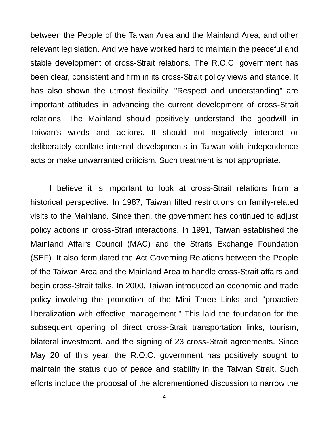between the People of the Taiwan Area and the Mainland Area, and other relevant legislation. And we have worked hard to maintain the peaceful and stable development of cross-Strait relations. The R.O.C. government has been clear, consistent and firm in its cross-Strait policy views and stance. It has also shown the utmost flexibility. "Respect and understanding" are important attitudes in advancing the current development of cross-Strait relations. The Mainland should positively understand the goodwill in Taiwan's words and actions. It should not negatively interpret or deliberately conflate internal developments in Taiwan with independence acts or make unwarranted criticism. Such treatment is not appropriate.

I believe it is important to look at cross-Strait relations from a historical perspective. In 1987, Taiwan lifted restrictions on family-related visits to the Mainland. Since then, the government has continued to adjust policy actions in cross-Strait interactions. In 1991, Taiwan established the Mainland Affairs Council (MAC) and the Straits Exchange Foundation (SEF). It also formulated the Act Governing Relations between the People of the Taiwan Area and the Mainland Area to handle cross-Strait affairs and begin cross-Strait talks. In 2000, Taiwan introduced an economic and trade policy involving the promotion of the Mini Three Links and "proactive liberalization with effective management." This laid the foundation for the subsequent opening of direct cross-Strait transportation links, tourism, bilateral investment, and the signing of 23 cross-Strait agreements. Since May 20 of this year, the R.O.C. government has positively sought to maintain the status quo of peace and stability in the Taiwan Strait. Such efforts include the proposal of the aforementioned discussion to narrow the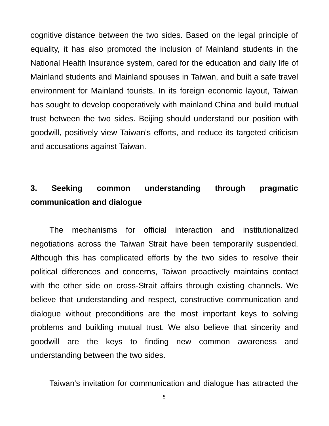cognitive distance between the two sides. Based on the legal principle of equality, it has also promoted the inclusion of Mainland students in the National Health Insurance system, cared for the education and daily life of Mainland students and Mainland spouses in Taiwan, and built a safe travel environment for Mainland tourists. In its foreign economic layout, Taiwan has sought to develop cooperatively with mainland China and build mutual trust between the two sides. Beijing should understand our position with goodwill, positively view Taiwan's efforts, and reduce its targeted criticism and accusations against Taiwan.

#### **3. Seeking common understanding through pragmatic communication and dialogue**

The mechanisms for official interaction and institutionalized negotiations across the Taiwan Strait have been temporarily suspended. Although this has complicated efforts by the two sides to resolve their political differences and concerns, Taiwan proactively maintains contact with the other side on cross-Strait affairs through existing channels. We believe that understanding and respect, constructive communication and dialogue without preconditions are the most important keys to solving problems and building mutual trust. We also believe that sincerity and goodwill are the keys to finding new common awareness and understanding between the two sides.

Taiwan's invitation for communication and dialogue has attracted the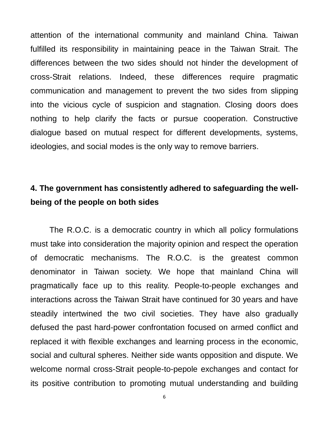attention of the international community and mainland China. Taiwan fulfilled its responsibility in maintaining peace in the Taiwan Strait. The differences between the two sides should not hinder the development of cross-Strait relations. Indeed, these differences require pragmatic communication and management to prevent the two sides from slipping into the vicious cycle of suspicion and stagnation. Closing doors does nothing to help clarify the facts or pursue cooperation. Constructive dialogue based on mutual respect for different developments, systems, ideologies, and social modes is the only way to remove barriers.

#### **4. The government has consistently adhered to safeguarding the wellbeing of the people on both sides**

The R.O.C. is a democratic country in which all policy formulations must take into consideration the majority opinion and respect the operation of democratic mechanisms. The R.O.C. is the greatest common denominator in Taiwan society. We hope that mainland China will pragmatically face up to this reality. People-to-people exchanges and interactions across the Taiwan Strait have continued for 30 years and have steadily intertwined the two civil societies. They have also gradually defused the past hard-power confrontation focused on armed conflict and replaced it with flexible exchanges and learning process in the economic, social and cultural spheres. Neither side wants opposition and dispute. We welcome normal cross-Strait people-to-pepole exchanges and contact for its positive contribution to promoting mutual understanding and building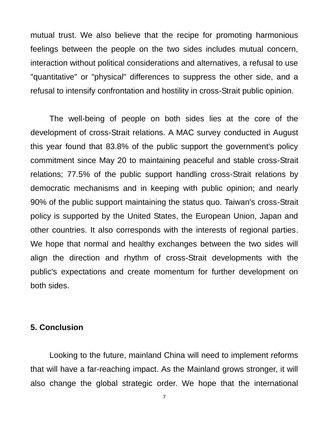mutual trust. We also believe that the recipe for promoting harmonious feelings between the people on the two sides includes mutual concern, interaction without political considerations and alternatives, a refusal to use "quantitative" or "physical" differences to suppress the other side, and a refusal to intensify confrontation and hostility in cross-Strait public opinion.

The well-being of people on both sides lies at the core of the development of cross-Strait relations. A MAC survey conducted in August this year found that 83.8% of the public support the government's policy commitment since May 20 to maintaining peaceful and stable cross-Strait relations; 77.5% of the public support handling cross-Strait relations by democratic mechanisms and in keeping with public opinion; and nearly 90% of the public support maintaining the status quo. Taiwan's cross-Strait policy is supported by the United States, the European Union, Japan and other countries. It also corresponds with the interests of regional parties. We hope that normal and healthy exchanges between the two sides will align the direction and rhythm of cross-Strait developments with the public's expectations and create momentum for further development on both sides.

#### **5. Conclusion**

Looking to the future, mainland China will need to implement reforms that will have a far-reaching impact. As the Mainland grows stronger, it will also change the global strategic order. We hope that the international